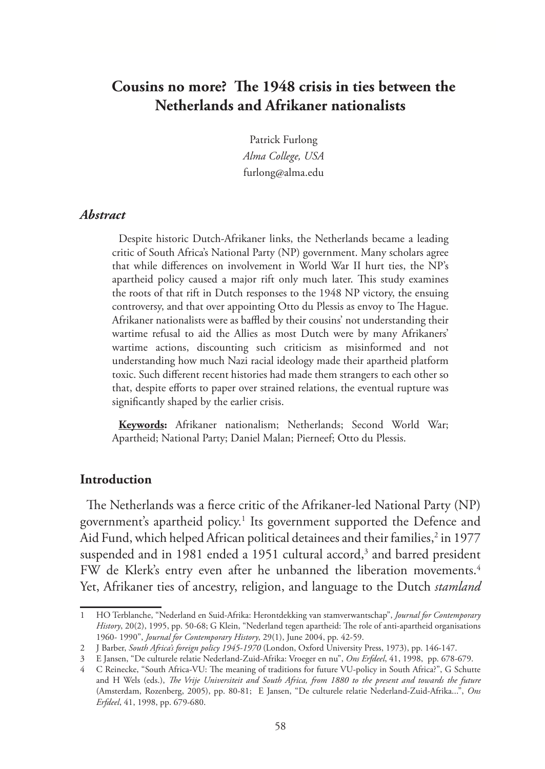# **Cousins no more? The 1948 crisis in ties between the Netherlands and Afrikaner nationalists**

Patrick Furlong *Alma College, USA* furlong@alma.edu

#### *Abstract*

Despite historic Dutch-Afrikaner links, the Netherlands became a leading critic of South Africa's National Party (NP) government. Many scholars agree that while differences on involvement in World War II hurt ties, the NP's apartheid policy caused a major rift only much later. This study examines the roots of that rift in Dutch responses to the 1948 NP victory, the ensuing controversy, and that over appointing Otto du Plessis as envoy to The Hague. Afrikaner nationalists were as baffled by their cousins' not understanding their wartime refusal to aid the Allies as most Dutch were by many Afrikaners' wartime actions, discounting such criticism as misinformed and not understanding how much Nazi racial ideology made their apartheid platform toxic. Such different recent histories had made them strangers to each other so that, despite efforts to paper over strained relations, the eventual rupture was significantly shaped by the earlier crisis.

**Keywords:** Afrikaner nationalism; Netherlands; Second World War; Apartheid; National Party; Daniel Malan; Pierneef; Otto du Plessis.

### **Introduction**

The Netherlands was a fierce critic of the Afrikaner-led National Party (NP) government's apartheid policy.1 Its government supported the Defence and Aid Fund, which helped African political detainees and their families,<sup>2</sup> in 1977 suspended and in 1981 ended a 1951 cultural accord,<sup>3</sup> and barred president FW de Klerk's entry even after he unbanned the liberation movements.<sup>4</sup> Yet, Afrikaner ties of ancestry, religion, and language to the Dutch *stamland*

<sup>1</sup> HO Terblanche, "Nederland en Suid-Afrika: Herontdekking van stamverwantschap", *Journal for Contemporary History*, 20(2), 1995, pp. 50-68; G Klein, "Nederland tegen apartheid: The role of anti-apartheid organisations 1960- 1990", *Journal for Contemporary History*, 29(1), June 2004, pp. 42-59.

<sup>2</sup> J Barber, *South Africa's foreign policy 1945-1970* (London, Oxford University Press, 1973), pp. 146-147.

<sup>3</sup> E Jansen, "De culturele relatie Nederland-Zuid-Afrika: Vroeger en nu", *Ons Erfdeel*, 41, 1998, pp. 678-679.

<sup>4</sup> C Reinecke, "South Africa-VU: The meaning of traditions for future VU-policy in South Africa?", G Schutte and H Wels (eds.), *The Vrije Universiteit and South Africa, from 1880 to the present and towards the future* (Amsterdam, Rozenberg, 2005), pp. 80-81; E Jansen, "De culturele relatie Nederland-Zuid-Afrika...", *Ons Erfdeel*, 41, 1998, pp. 679-680.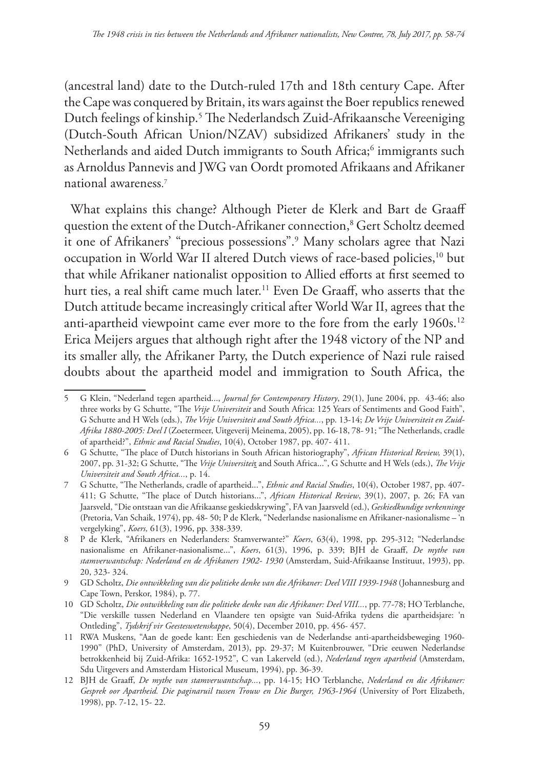(ancestral land) date to the Dutch-ruled 17th and 18th century Cape. After the Cape was conquered by Britain, its wars against the Boer republics renewed Dutch feelings of kinship.5 The Nederlandsch Zuid-Afrikaansche Vereeniging (Dutch-South African Union/NZAV) subsidized Afrikaners' study in the Netherlands and aided Dutch immigrants to South Africa;<sup>6</sup> immigrants such as Arnoldus Pannevis and JWG van Oordt promoted Afrikaans and Afrikaner national awareness. 7

What explains this change? Although Pieter de Klerk and Bart de Graaff question the extent of the Dutch-Afrikaner connection,8 Gert Scholtz deemed it one of Afrikaners' "precious possessions".9 Many scholars agree that Nazi occupation in World War II altered Dutch views of race-based policies,<sup>10</sup> but that while Afrikaner nationalist opposition to Allied efforts at first seemed to hurt ties, a real shift came much later.<sup>11</sup> Even De Graaff, who asserts that the Dutch attitude became increasingly critical after World War II, agrees that the anti-apartheid viewpoint came ever more to the fore from the early 1960s.<sup>12</sup> Erica Meijers argues that although right after the 1948 victory of the NP and its smaller ally, the Afrikaner Party, the Dutch experience of Nazi rule raised doubts about the apartheid model and immigration to South Africa, the

<sup>5</sup> G Klein, "Nederland tegen apartheid..., *Journal for Contemporary History*, 29(1), June 2004, pp. 43-46; also three works by G Schutte, "The *Vrije Universiteit* and South Africa: 125 Years of Sentiments and Good Faith", G Schutte and H Wels (eds.), *The Vrije Universiteit and South Africa...*, pp. 13-14; *De Vrije Universiteit en Zuid-Afrika 1880-2005: Deel I* (Zoetermeer, Uitgeverij Meinema, 2005), pp. 16-18, 78- 91; "The Netherlands, cradle of apartheid?", *Ethnic and Racial Studies*, 10(4), October 1987, pp. 407- 411.

<sup>6</sup> G Schutte, "The place of Dutch historians in South African historiography", *African Historical Review,* 39(1), 2007, pp. 31-32; G Schutte, "The *Vrije Universitei*t and South Africa...", G Schutte and H Wels (eds.), *The Vrije Universiteit and South Africa...*, p. 14.

<sup>7</sup> G Schutte, "The Netherlands, cradle of apartheid...", *Ethnic and Racial Studies*, 10(4), October 1987, pp. 407- 411; G Schutte, "The place of Dutch historians...", *African Historical Review*, 39(1), 2007, p. 26; FA van Jaarsveld, "Die ontstaan van die Afrikaanse geskiedskrywing", FA van Jaarsveld (ed.), *Geskiedkundige verkenninge* (Pretoria, Van Schaik, 1974), pp. 48- 50; P de Klerk, "Nederlandse nasionalisme en Afrikaner-nasionalisme – 'n vergelyking", *Koers,* 61(3), 1996, pp. 338-339.

<sup>8</sup> P de Klerk, "Afrikaners en Nederlanders: Stamverwante?" *Koers*, 63(4), 1998, pp. 295-312; "Nederlandse nasionalisme en Afrikaner-nasionalisme...", *Koers*, 61(3), 1996, p. 339; BJH de Graaff, *De mythe van stamverwantschap: Nederland en de Afrikaners 1902- 1930* (Amsterdam, Suid-Afrikaanse Instituut, 1993), pp. 20, 323- 324.

<sup>9</sup> GD Scholtz, *Die ontwikkeling van die politieke denke van die Afrikaner: Deel VIII 1939-1948* (Johannesburg and Cape Town, Perskor, 1984), p. 77.

<sup>10</sup> GD Scholtz, *Die ontwikkeling van die politieke denke van die Afrikaner: Deel VIII...*, pp. 77-78; HO Terblanche, "Die verskille tussen Nederland en Vlaandere ten opsigte van Suid-Afrika tydens die apartheidsjare: 'n Ontleding", *Tydskrif vir Geesteswetenskappe*, 50(4), December 2010, pp. 456- 457.

<sup>11</sup> RWA Muskens, "Aan de goede kant: Een geschiedenis van de Nederlandse anti-apartheidsbeweging 1960- 1990" (PhD, University of Amsterdam, 2013), pp. 29-37; M Kuitenbrouwer, "Drie eeuwen Nederlandse betrokkenheid bij Zuid-Afrika: 1652-1952", C van Lakerveld (ed.), *Nederland tegen apartheid* (Amsterdam, Sdu Uitgevers and Amsterdam Historical Museum, 1994), pp. 36-39.

<sup>12</sup> BJH de Graaff, *De mythe van stamverwantschap...*, pp. 14-15; HO Terblanche, *Nederland en die Afrikaner: Gesprek oor Apartheid. Die paginaruil tussen Trouw en Die Burger, 1963-1964* (University of Port Elizabeth, 1998), pp. 7-12, 15- 22.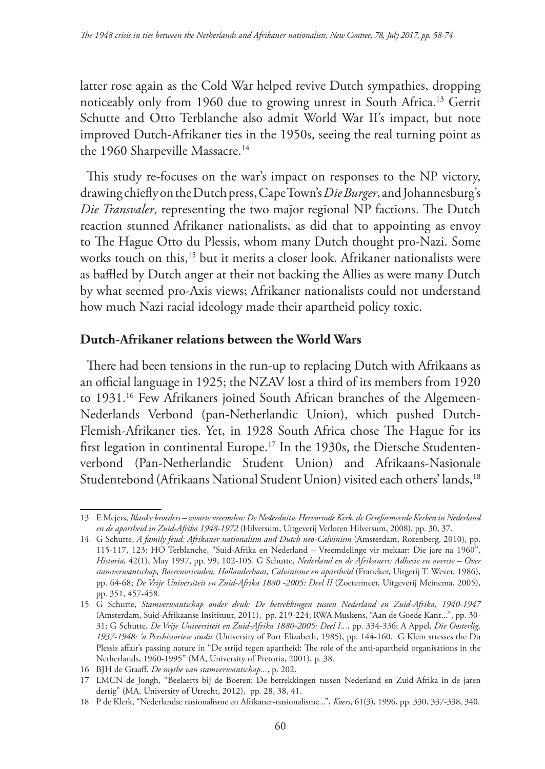latter rose again as the Cold War helped revive Dutch sympathies, dropping noticeably only from 1960 due to growing unrest in South Africa.13 Gerrit Schutte and Otto Terblanche also admit World War II's impact, but note improved Dutch-Afrikaner ties in the 1950s, seeing the real turning point as the 1960 Sharpeville Massacre.<sup>14</sup>

This study re-focuses on the war's impact on responses to the NP victory, drawing chiefly on the Dutch press, Cape Town's *Die Burger*, and Johannesburg's *Die Transvaler*, representing the two major regional NP factions. The Dutch reaction stunned Afrikaner nationalists, as did that to appointing as envoy to The Hague Otto du Plessis, whom many Dutch thought pro-Nazi. Some works touch on this,<sup>15</sup> but it merits a closer look. Afrikaner nationalists were as baffled by Dutch anger at their not backing the Allies as were many Dutch by what seemed pro-Axis views; Afrikaner nationalists could not understand how much Nazi racial ideology made their apartheid policy toxic.

## **Dutch-Afrikaner relations between the World Wars**

There had been tensions in the run-up to replacing Dutch with Afrikaans as an official language in 1925; the NZAV lost a third of its members from 1920 to 1931.16 Few Afrikaners joined South African branches of the Algemeen-Nederlands Verbond (pan-Netherlandic Union), which pushed Dutch-Flemish-Afrikaner ties. Yet, in 1928 South Africa chose The Hague for its first legation in continental Europe.<sup>17</sup> In the 1930s, the Dietsche Studentenverbond (Pan-Netherlandic Student Union) and Afrikaans-Nasionale Studentebond (Afrikaans National Student Union) visited each others' lands,<sup>18</sup>

<sup>13</sup> E Mejers, *Blanke broeders – zwarte vreemden: De Nederduitse Hervormde Kerk, de Gereformeerde Kerken in Nederland en de apartheid in Zuid-Afrika 1948-1972* (Hilversum, Uitgeverij Verloren Hilversum, 2008), pp. 30, 37.

<sup>14</sup> G Schutte, *A family feud: Afrikaner nationalism and Dutch neo-Calvinism* (Amsterdam, Rozenberg, 2010), pp. 115-117, 123; HO Terblanche, "Suid-Afrika en Nederland – Vreemdelinge vir mekaar: Die jare na 1960", *Historia*, 42(1), May 1997, pp. 99, 102-105. G Schutte, *Nederland en de Afrikaners: Adhesie en aversie – Over stamverwantschap, Boerenvrienden, Hollanderhaat, Calvinisme en apartheid* (Franeker, Uitgerij T. Wever, 1986), pp. 64-68; *De Vrije Universiteit en Zuid-Afrika 1880 -2005: Deel II* (Zoetermeer, Uitgeverij Meinema, 2005), pp. 351, 457-458.

<sup>15</sup> G Schutte, *Stamverwantschap onder druk: De betrekkingen tussen Nederland en Zuid-Afrika, 1940-1947* (Amsterdam, Suid-Afrikaanse Insitituut, 2011), pp. 219-224; RWA Muskens, "Aan de Goede Kant...", pp. 30- 31; G Schutte, *De Vrije Universiteit en Zuid-Afrika 1880-2005: Deel I...*, pp. 334-336; A Appel, *Die Oosterlig, 1937-1948: 'n Pershistoriese studie* (University of Port Elizabeth, 1985), pp. 144-160. G Klein stresses the Du Plessis affair's passing nature in "De strijd tegen apartheid: The role of the anti-apartheid organisations in the Netherlands, 1960-1995" (MA, University of Pretoria, 2001), p. 38.

<sup>16</sup> BJH de Graaff, *De mythe van stamverwantschap...*, p. 202.

<sup>17</sup> LMCN de Jongh, "Beelaerts bij de Boeren: De betrekkingen tussen Nederland en Zuid-Afrika in de jaren dertig" (MA, University of Utrecht, 2012), pp. 28, 38, 41.

<sup>18</sup> P de Klerk, "Nederlandse nasionalisme en Afrikaner-nasionalisme...", *Koers*, 61(3), 1996, pp. 330, 337-338, 340.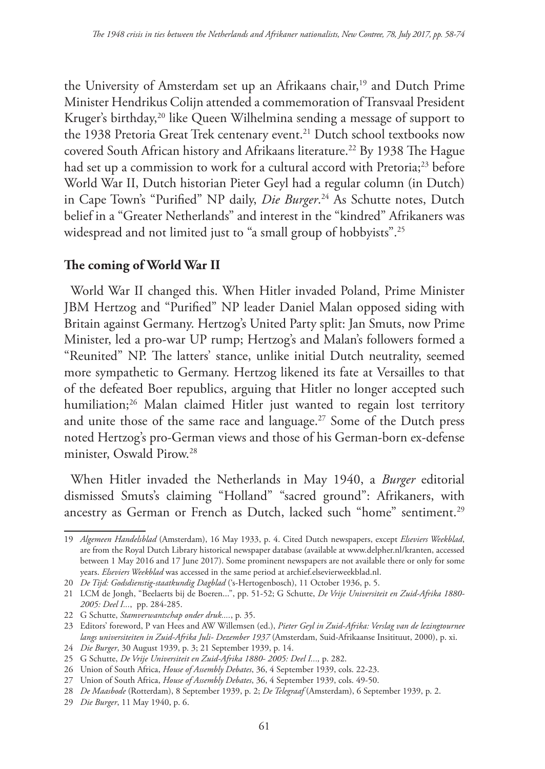the University of Amsterdam set up an Afrikaans chair,<sup>19</sup> and Dutch Prime Minister Hendrikus Colijn attended a commemoration of Transvaal President Kruger's birthday,<sup>20</sup> like Queen Wilhelmina sending a message of support to the 1938 Pretoria Great Trek centenary event.<sup>21</sup> Dutch school textbooks now covered South African history and Afrikaans literature.<sup>22</sup> By 1938 The Hague had set up a commission to work for a cultural accord with Pretoria;<sup>23</sup> before World War II, Dutch historian Pieter Geyl had a regular column (in Dutch) in Cape Town's "Purified" NP daily, *Die Burger*. 24 As Schutte notes, Dutch belief in a "Greater Netherlands" and interest in the "kindred" Afrikaners was widespread and not limited just to "a small group of hobbyists".<sup>25</sup>

# **The coming of World War II**

World War II changed this. When Hitler invaded Poland, Prime Minister JBM Hertzog and "Purified" NP leader Daniel Malan opposed siding with Britain against Germany. Hertzog's United Party split: Jan Smuts, now Prime Minister, led a pro-war UP rump; Hertzog's and Malan's followers formed a "Reunited" NP. The latters' stance, unlike initial Dutch neutrality, seemed more sympathetic to Germany. Hertzog likened its fate at Versailles to that of the defeated Boer republics, arguing that Hitler no longer accepted such humiliation;<sup>26</sup> Malan claimed Hitler just wanted to regain lost territory and unite those of the same race and language.<sup>27</sup> Some of the Dutch press noted Hertzog's pro-German views and those of his German-born ex-defense minister, Oswald Pirow.28

When Hitler invaded the Netherlands in May 1940, a *Burger* editorial dismissed Smuts's claiming "Holland" "sacred ground": Afrikaners, with ancestry as German or French as Dutch, lacked such "home" sentiment.<sup>29</sup>

<sup>19</sup> *Algemeen Handelsblad* (Amsterdam), 16 May 1933, p. 4. Cited Dutch newspapers, except *Elseviers Weekblad*, are from the Royal Dutch Library historical newspaper database (available at www.delpher.nl/kranten, accessed between 1 May 2016 and 17 June 2017). Some prominent newspapers are not available there or only for some years. *Elseviers Weekblad* was accessed in the same period at archief.elsevierweekblad.nl.

<sup>20</sup> *De Tijd: Godsdienstig-staatkundig Dagblad* ('s-Hertogenbosch), 11 October 1936, p. 5.

<sup>21</sup> LCM de Jongh, "Beelaerts bij de Boeren...", pp. 51-52; G Schutte, *De Vrije Universiteit en Zuid-Afrika 1880- 2005: Deel I...*, pp. 284-285.

<sup>22</sup> G Schutte, *Stamverwantschap onder druk....*, p. 35.

<sup>23</sup> Editors' foreword, P van Hees and AW Willemsen (ed.), *Pieter Geyl in Zuid-Afrika: Verslag van de lezingtournee langs universiteiten in Zuid-Afrika Juli- Dezember 1937* (Amsterdam, Suid-Afrikaanse Insitituut, 2000), p. xi.

<sup>24</sup> *Die Burger*, 30 August 1939, p. 3; 21 September 1939, p. 14.

<sup>25</sup> G Schutte, *De Vrije Universiteit en Zuid-Afrika 1880- 2005: Deel I...,* p. 282.

<sup>26</sup> Union of South Africa, *House of Assembly Debates*, 36, 4 September 1939, cols. 22-23.

<sup>27</sup> Union of South Africa, *House of Assembly Debates*, 36, 4 September 1939, cols. 49-50.

<sup>28</sup> *De Maasbode* (Rotterdam), 8 September 1939, p. 2; *De Telegraaf* (Amsterdam), 6 September 1939, p. 2.

<sup>29</sup> *Die Burger*, 11 May 1940, p. 6.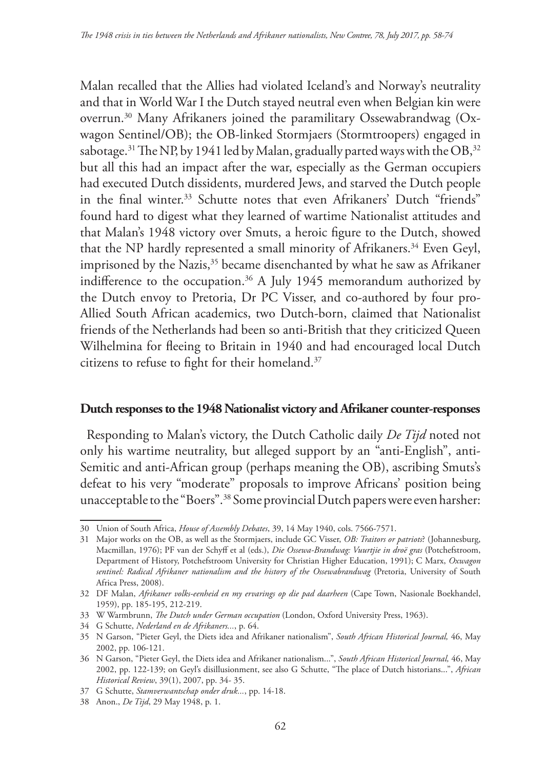Malan recalled that the Allies had violated Iceland's and Norway's neutrality and that in World War I the Dutch stayed neutral even when Belgian kin were overrun.30 Many Afrikaners joined the paramilitary Ossewabrandwag (Oxwagon Sentinel/OB); the OB-linked Stormjaers (Stormtroopers) engaged in sabotage.<sup>31</sup> The NP, by 1941 led by Malan, gradually parted ways with the OB,  $32$ but all this had an impact after the war, especially as the German occupiers had executed Dutch dissidents, murdered Jews, and starved the Dutch people in the final winter.<sup>33</sup> Schutte notes that even Afrikaners' Dutch "friends" found hard to digest what they learned of wartime Nationalist attitudes and that Malan's 1948 victory over Smuts, a heroic figure to the Dutch, showed that the NP hardly represented a small minority of Afrikaners.<sup>34</sup> Even Geyl, imprisoned by the Nazis,<sup>35</sup> became disenchanted by what he saw as Afrikaner indifference to the occupation.36 A July 1945 memorandum authorized by the Dutch envoy to Pretoria, Dr PC Visser, and co-authored by four pro-Allied South African academics, two Dutch-born, claimed that Nationalist friends of the Netherlands had been so anti-British that they criticized Queen Wilhelmina for fleeing to Britain in 1940 and had encouraged local Dutch citizens to refuse to fight for their homeland.37

#### **Dutch responses to the 1948 Nationalist victory and Afrikaner counter-responses**

Responding to Malan's victory, the Dutch Catholic daily *De Tijd* noted not only his wartime neutrality, but alleged support by an "anti-English", anti-Semitic and anti-African group (perhaps meaning the OB), ascribing Smuts's defeat to his very "moderate" proposals to improve Africans' position being unacceptable to the "Boers".38 Some provincial Dutch papers were even harsher:

<sup>30</sup> Union of South Africa, *House of Assembly Debates*, 39, 14 May 1940, cols. 7566-7571.

<sup>31</sup> Major works on the OB, as well as the Stormjaers, include GC Visser, *OB: Traitors or patriots*? (Johannesburg, Macmillan, 1976); PF van der Schyff et al (eds.), *Die Ossewa-Brandwag: Vuurtjie in droë gras* (Potchefstroom, Department of History, Potchefstroom University for Christian Higher Education, 1991); C Marx, *Oxwagon sentinel: Radical Afrikaner nationalism and the history of the Ossewabrandwag* (Pretoria, University of South Africa Press, 2008).

<sup>32</sup> DF Malan, *Afrikaner volks-eenheid en my ervarings op die pad daarheen* (Cape Town, Nasionale Boekhandel, 1959), pp. 185-195, 212-219.

<sup>33</sup> W Warmbrunn, *The Dutch under German occupation* (London, Oxford University Press, 1963).

<sup>34</sup> G Schutte, *Nederland en de Afrikaners...*, p. 64.

<sup>35</sup> N Garson, "Pieter Geyl, the Diets idea and Afrikaner nationalism", *South African Historical Journal,* 46, May 2002, pp. 106-121.

<sup>36</sup> N Garson, "Pieter Geyl, the Diets idea and Afrikaner nationalism...", *South African Historical Journal,* 46, May 2002, pp. 122-139; on Geyl's disillusionment, see also G Schutte, "The place of Dutch historians...", *African Historical Review*, 39(1), 2007, pp. 34- 35.

<sup>37</sup> G Schutte, *Stamverwantschap onder druk...*, pp. 14-18.

<sup>38</sup> Anon., *De Tijd*, 29 May 1948, p. 1.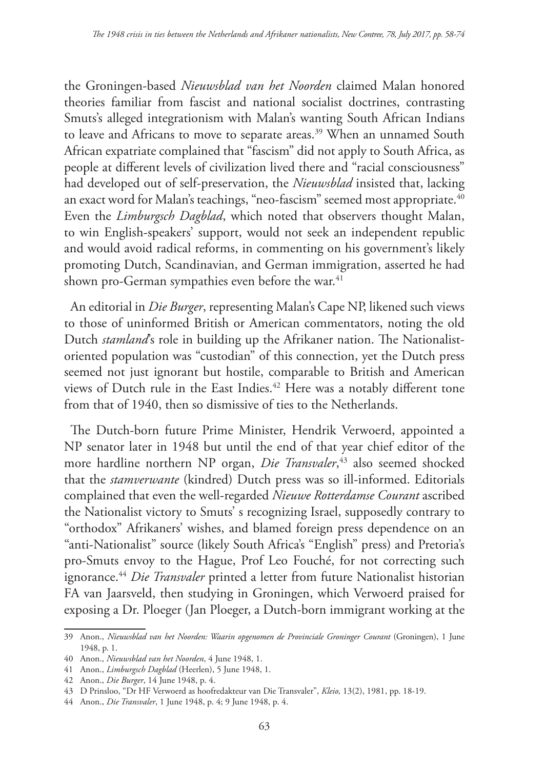the Groningen-based *Nieuwsblad van het Noorden* claimed Malan honored theories familiar from fascist and national socialist doctrines, contrasting Smuts's alleged integrationism with Malan's wanting South African Indians to leave and Africans to move to separate areas.<sup>39</sup> When an unnamed South African expatriate complained that "fascism" did not apply to South Africa, as people at different levels of civilization lived there and "racial consciousness" had developed out of self-preservation, the *Nieuwsblad* insisted that, lacking an exact word for Malan's teachings, "neo-fascism" seemed most appropriate.<sup>40</sup> Even the *Limburgsch Dagblad*, which noted that observers thought Malan, to win English-speakers' support, would not seek an independent republic and would avoid radical reforms, in commenting on his government's likely promoting Dutch, Scandinavian, and German immigration, asserted he had shown pro-German sympathies even before the war.<sup>41</sup>

An editorial in *Die Burger*, representing Malan's Cape NP, likened such views to those of uninformed British or American commentators, noting the old Dutch *stamland*'s role in building up the Afrikaner nation. The Nationalistoriented population was "custodian" of this connection, yet the Dutch press seemed not just ignorant but hostile, comparable to British and American views of Dutch rule in the East Indies.<sup>42</sup> Here was a notably different tone from that of 1940, then so dismissive of ties to the Netherlands.

The Dutch-born future Prime Minister, Hendrik Verwoerd, appointed a NP senator later in 1948 but until the end of that year chief editor of the more hardline northern NP organ, *Die Transvaler*, 43 also seemed shocked that the *stamverwante* (kindred) Dutch press was so ill-informed. Editorials complained that even the well-regarded *Nieuwe Rotterdamse Courant* ascribed the Nationalist victory to Smuts' s recognizing Israel, supposedly contrary to "orthodox" Afrikaners' wishes, and blamed foreign press dependence on an "anti-Nationalist" source (likely South Africa's "English" press) and Pretoria's pro-Smuts envoy to the Hague, Prof Leo Fouché, for not correcting such ignorance.44 *Die Transvaler* printed a letter from future Nationalist historian FA van Jaarsveld, then studying in Groningen, which Verwoerd praised for exposing a Dr. Ploeger (Jan Ploeger, a Dutch-born immigrant working at the

<sup>39</sup> Anon., *Nieuwsblad van het Noorden: Waarin opgenomen de Provinciale Groninger Courant* (Groningen), 1 June 1948, p. 1.

<sup>40</sup> Anon., *Nieuwsblad van het Noorden*, 4 June 1948, 1.

<sup>41</sup> Anon., *Limburgsch Dagblad* (Heerlen), 5 June 1948, 1.

<sup>42</sup> Anon., *Die Burger*, 14 June 1948, p. 4.

<sup>43</sup> D Prinsloo, "Dr HF Verwoerd as hoofredakteur van Die Transvaler", *Kleio,* 13(2), 1981, pp. 18-19.

<sup>44</sup> Anon., *Die Transvaler*, 1 June 1948, p. 4; 9 June 1948, p. 4.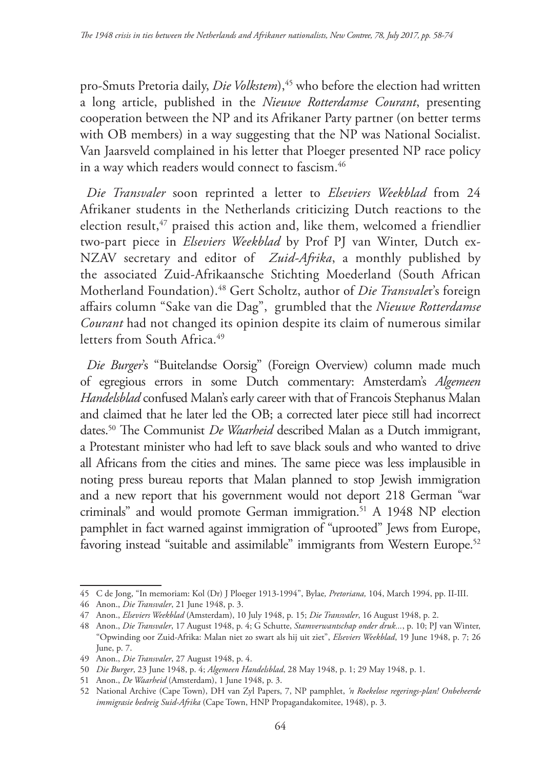pro-Smuts Pretoria daily, *Die Volkstem*),<sup>45</sup> who before the election had written a long article, published in the *Nieuwe Rotterdamse Courant*, presenting cooperation between the NP and its Afrikaner Party partner (on better terms with OB members) in a way suggesting that the NP was National Socialist. Van Jaarsveld complained in his letter that Ploeger presented NP race policy in a way which readers would connect to fascism.<sup>46</sup>

*Die Transvaler* soon reprinted a letter to *Elseviers Weekblad* from 24 Afrikaner students in the Netherlands criticizing Dutch reactions to the election result,<sup>47</sup> praised this action and, like them, welcomed a friendlier two-part piece in *Elseviers Weekblad* by Prof PJ van Winter, Dutch ex-NZAV secretary and editor of *Zuid-Afrika*, a monthly published by the associated Zuid-Afrikaansche Stichting Moederland (South African Motherland Foundation).48 Gert Scholtz, author of *Die Transvale*r's foreign affairs column "Sake van die Dag", grumbled that the *Nieuwe Rotterdamse Courant* had not changed its opinion despite its claim of numerous similar letters from South Africa.<sup>49</sup>

*Die Burger*'s "Buitelandse Oorsig" (Foreign Overview) column made much of egregious errors in some Dutch commentary: Amsterdam's *Algemeen Handelsblad* confused Malan's early career with that of Francois Stephanus Malan and claimed that he later led the OB; a corrected later piece still had incorrect dates.50 The Communist *De Waarheid* described Malan as a Dutch immigrant, a Protestant minister who had left to save black souls and who wanted to drive all Africans from the cities and mines. The same piece was less implausible in noting press bureau reports that Malan planned to stop Jewish immigration and a new report that his government would not deport 218 German "war criminals" and would promote German immigration.<sup>51</sup> A 1948 NP election pamphlet in fact warned against immigration of "uprooted" Jews from Europe, favoring instead "suitable and assimilable" immigrants from Western Europe.<sup>52</sup>

<sup>45</sup> C de Jong, "In memoriam: Kol (Dr) J Ploeger 1913-1994", Bylae*, Pretoriana,* 104, March 1994, pp. II-III.

<sup>46</sup> Anon., *Die Transvaler*, 21 June 1948, p. 3.

<sup>47</sup> Anon., *Elseviers Weekblad* (Amsterdam), 10 July 1948, p. 15; *Die Transvaler*, 16 August 1948, p. 2.

<sup>48</sup> Anon., *Die Transvaler*, 17 August 1948, p. 4; G Schutte, *Stamverwantschap onder druk...*, p. 10; PJ van Winter, "Opwinding oor Zuid-Afrika: Malan niet zo swart als hij uit ziet", *Elseviers Weekblad*, 19 June 1948, p. 7; 26 June, p. 7.

<sup>49</sup> Anon., *Die Transvaler*, 27 August 1948, p. 4.

<sup>50</sup> *Die Burger*, 23 June 1948, p. 4; *Algemeen Handelsblad*, 28 May 1948, p. 1; 29 May 1948, p. 1.

<sup>51</sup> Anon., *De Waarheid* (Amsterdam), 1 June 1948, p. 3.

<sup>52</sup> National Archive (Cape Town), DH van Zyl Papers, 7, NP pamphlet, *'n Roekelose regerings-plan! Onbeheerde immigrasie bedreig Suid-Afrika* (Cape Town, HNP Propagandakomitee, 1948), p. 3.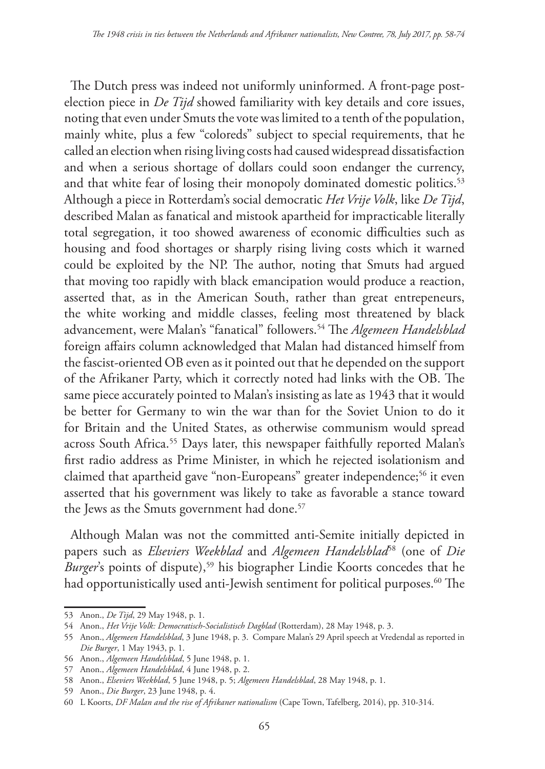The Dutch press was indeed not uniformly uninformed. A front-page postelection piece in *De Tijd* showed familiarity with key details and core issues, noting that even under Smuts the vote was limited to a tenth of the population, mainly white, plus a few "coloreds" subject to special requirements, that he called an election when rising living costs had caused widespread dissatisfaction and when a serious shortage of dollars could soon endanger the currency, and that white fear of losing their monopoly dominated domestic politics.<sup>53</sup> Although a piece in Rotterdam's social democratic *Het Vrije Volk*, like *De Tijd*, described Malan as fanatical and mistook apartheid for impracticable literally total segregation, it too showed awareness of economic difficulties such as housing and food shortages or sharply rising living costs which it warned could be exploited by the NP. The author, noting that Smuts had argued that moving too rapidly with black emancipation would produce a reaction, asserted that, as in the American South, rather than great entrepeneurs, the white working and middle classes, feeling most threatened by black advancement, were Malan's "fanatical" followers.54 The *Algemeen Handelsblad* foreign affairs column acknowledged that Malan had distanced himself from the fascist-oriented OB even as it pointed out that he depended on the support of the Afrikaner Party, which it correctly noted had links with the OB. The same piece accurately pointed to Malan's insisting as late as 1943 that it would be better for Germany to win the war than for the Soviet Union to do it for Britain and the United States, as otherwise communism would spread across South Africa.<sup>55</sup> Days later, this newspaper faithfully reported Malan's first radio address as Prime Minister, in which he rejected isolationism and claimed that apartheid gave "non-Europeans" greater independence;<sup>56</sup> it even asserted that his government was likely to take as favorable a stance toward the Jews as the Smuts government had done.<sup>57</sup>

Although Malan was not the committed anti-Semite initially depicted in papers such as *Elseviers Weekblad* and *Algemeen Handelsblad*58 (one of *Die Burger*'s points of dispute),<sup>59</sup> his biographer Lindie Koorts concedes that he had opportunistically used anti-Jewish sentiment for political purposes.<sup>60</sup> The

<sup>53</sup> Anon., *De Tijd*, 29 May 1948, p. 1.

<sup>54</sup> Anon., *Het Vrije Volk: Democratisch-Socialistisch Dagblad* (Rotterdam), 28 May 1948, p. 3.

<sup>55</sup> Anon., *Algemeen Handelsblad*, 3 June 1948, p. 3. Compare Malan's 29 April speech at Vredendal as reported in *Die Burger*, 1 May 1943, p. 1.

<sup>56</sup> Anon., *Algemeen Handelsblad*, 5 June 1948, p. 1.

<sup>57</sup> Anon., *Algemeen Handelsblad*, 4 June 1948, p. 2.

<sup>58</sup> Anon., *Elseviers Weekblad*, 5 June 1948, p. 5; *Algemeen Handelsblad*, 28 May 1948, p. 1.

<sup>59</sup> Anon., *Die Burger*, 23 June 1948, p. 4.

<sup>60</sup> L Koorts, *DF Malan and the rise of Afrikaner nationalism* (Cape Town, Tafelberg, 2014), pp. 310-314.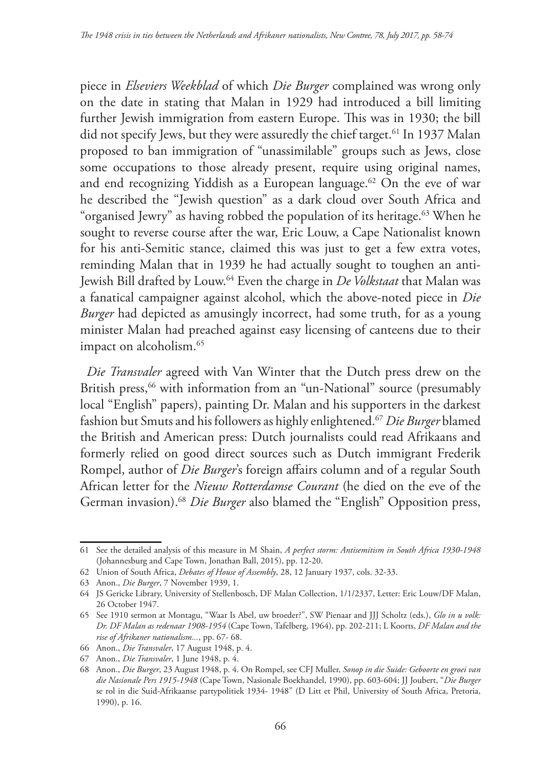piece in *Elseviers Weekblad* of which *Die Burger* complained was wrong only on the date in stating that Malan in 1929 had introduced a bill limiting further Jewish immigration from eastern Europe. This was in 1930; the bill did not specify Jews, but they were assuredly the chief target.<sup>61</sup> In 1937 Malan proposed to ban immigration of "unassimilable" groups such as Jews, close some occupations to those already present, require using original names, and end recognizing Yiddish as a European language.<sup>62</sup> On the eve of war he described the "Jewish question" as a dark cloud over South Africa and "organised Jewry" as having robbed the population of its heritage.<sup>63</sup> When he sought to reverse course after the war, Eric Louw, a Cape Nationalist known for his anti-Semitic stance, claimed this was just to get a few extra votes, reminding Malan that in 1939 he had actually sought to toughen an anti-Jewish Bill drafted by Louw.64 Even the charge in *De Volkstaat* that Malan was a fanatical campaigner against alcohol, which the above-noted piece in *Die Burger* had depicted as amusingly incorrect, had some truth, for as a young minister Malan had preached against easy licensing of canteens due to their impact on alcoholism.<sup>65</sup>

*Die Transvaler* agreed with Van Winter that the Dutch press drew on the British press,<sup>66</sup> with information from an "un-National" source (presumably local "English" papers), painting Dr. Malan and his supporters in the darkest fashion but Smuts and his followers as highly enlightened.67 *Die Burger* blamed the British and American press: Dutch journalists could read Afrikaans and formerly relied on good direct sources such as Dutch immigrant Frederik Rompel, author of *Die Burger*'s foreign affairs column and of a regular South African letter for the *Nieuw Rotterdamse Courant* (he died on the eve of the German invasion).<sup>68</sup> *Die Burger* also blamed the "English" Opposition press,

<sup>61</sup> See the detailed analysis of this measure in M Shain, *A perfect storm: Antisemitism in South Africa 1930-1948* (Johannesburg and Cape Town, Jonathan Ball, 2015), pp. 12-20.

<sup>62</sup> Union of South Africa, *Debates of House of Assembly*, 28, 12 January 1937, cols. 32-33.

<sup>63</sup> Anon., *Die Burger*, 7 November 1939, 1.

<sup>64</sup> JS Gericke Library, University of Stellenbosch, DF Malan Collection, 1/1/2337, Letter: Eric Louw/DF Malan, 26 October 1947.

<sup>65</sup> See 1910 sermon at Montagu, "Waar Is Abel, uw broeder?", SW Pienaar and JJJ Scholtz (eds.), *Glo in u volk: Dr. DF Malan as redenaar 1908-1954* (Cape Town, Tafelberg, 1964), pp. 202-211; L Koorts, *DF Malan and the rise of Afrikaner nationalism...*, pp. 67- 68.

<sup>66</sup> Anon., *Die Transvaler*, 17 August 1948, p. 4.

<sup>67</sup> Anon., *Die Transvaler*, 1 June 1948, p. 4.

<sup>68</sup> Anon., *Die Burger*, 23 August 1948, p. 4. On Rompel, see CFJ Muller, *Sonop in die Suide: Geboorte en groei van die Nasionale Pers 1915-1948* (Cape Town, Nasionale Boekhandel, 1990), pp. 603-604; JJ Joubert, "*Die Burger* se rol in die Suid-Afrikaanse partypolitiek 1934- 1948" (D Litt et Phil, University of South Africa, Pretoria, 1990), p. 16.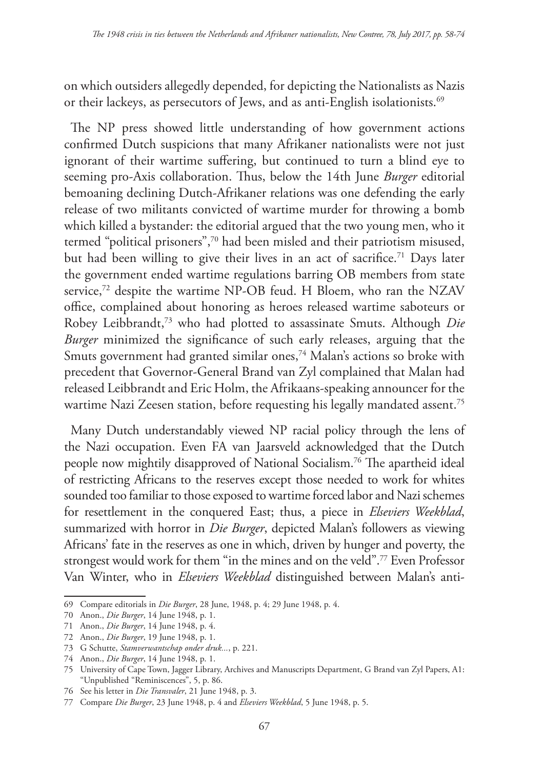on which outsiders allegedly depended, for depicting the Nationalists as Nazis or their lackeys, as persecutors of Jews, and as anti-English isolationists.<sup>69</sup>

The NP press showed little understanding of how government actions confirmed Dutch suspicions that many Afrikaner nationalists were not just ignorant of their wartime suffering, but continued to turn a blind eye to seeming pro-Axis collaboration. Thus, below the 14th June *Burger* editorial bemoaning declining Dutch-Afrikaner relations was one defending the early release of two militants convicted of wartime murder for throwing a bomb which killed a bystander: the editorial argued that the two young men, who it termed "political prisoners",70 had been misled and their patriotism misused, but had been willing to give their lives in an act of sacrifice.<sup>71</sup> Days later the government ended wartime regulations barring OB members from state service,<sup>72</sup> despite the wartime NP-OB feud. H Bloem, who ran the NZAV office, complained about honoring as heroes released wartime saboteurs or Robey Leibbrandt,73 who had plotted to assassinate Smuts. Although *Die Burger* minimized the significance of such early releases, arguing that the Smuts government had granted similar ones,<sup>74</sup> Malan's actions so broke with precedent that Governor-General Brand van Zyl complained that Malan had released Leibbrandt and Eric Holm, the Afrikaans-speaking announcer for the wartime Nazi Zeesen station, before requesting his legally mandated assent.<sup>75</sup>

Many Dutch understandably viewed NP racial policy through the lens of the Nazi occupation. Even FA van Jaarsveld acknowledged that the Dutch people now mightily disapproved of National Socialism.76 The apartheid ideal of restricting Africans to the reserves except those needed to work for whites sounded too familiar to those exposed to wartime forced labor and Nazi schemes for resettlement in the conquered East; thus, a piece in *Elseviers Weekblad*, summarized with horror in *Die Burger*, depicted Malan's followers as viewing Africans' fate in the reserves as one in which, driven by hunger and poverty, the strongest would work for them "in the mines and on the veld".77 Even Professor Van Winter, who in *Elseviers Weekblad* distinguished between Malan's anti-

<sup>69</sup> Compare editorials in *Die Burger*, 28 June, 1948, p. 4; 29 June 1948, p. 4.

<sup>70</sup> Anon., *Die Burger*, 14 June 1948, p. 1.

<sup>71</sup> Anon., *Die Burger*, 14 June 1948, p. 4.

<sup>72</sup> Anon., *Die Burger*, 19 June 1948, p. 1.

<sup>73</sup> G Schutte, *Stamverwantschap onder druk...*, p. 221.

<sup>74</sup> Anon., *Die Burger*, 14 June 1948, p. 1.

<sup>75</sup> University of Cape Town, Jagger Library, Archives and Manuscripts Department, G Brand van Zyl Papers, A1: "Unpublished "Reminiscences", 5, p. 86.

<sup>76</sup> See his letter in *Die Transvaler*, 21 June 1948, p. 3.

<sup>77</sup> Compare *Die Burger*, 23 June 1948, p. 4 and *Elseviers Weekblad*, 5 June 1948, p. 5.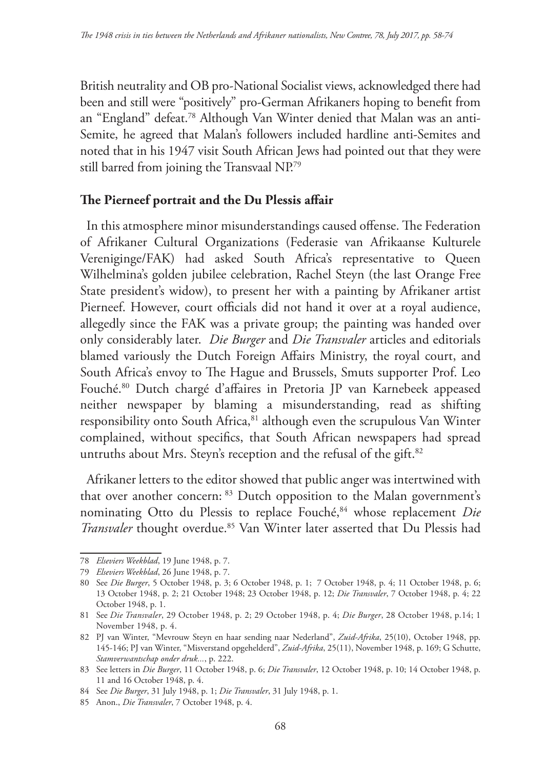British neutrality and OB pro-National Socialist views, acknowledged there had been and still were "positively" pro-German Afrikaners hoping to benefit from an "England" defeat.78 Although Van Winter denied that Malan was an anti-Semite, he agreed that Malan's followers included hardline anti-Semites and noted that in his 1947 visit South African Jews had pointed out that they were still barred from joining the Transvaal NP.79

# **The Pierneef portrait and the Du Plessis affair**

In this atmosphere minor misunderstandings caused offense. The Federation of Afrikaner Cultural Organizations (Federasie van Afrikaanse Kulturele Vereniginge/FAK) had asked South Africa's representative to Queen Wilhelmina's golden jubilee celebration, Rachel Steyn (the last Orange Free State president's widow), to present her with a painting by Afrikaner artist Pierneef. However, court officials did not hand it over at a royal audience, allegedly since the FAK was a private group; the painting was handed over only considerably later. *Die Burger* and *Die Transvaler* articles and editorials blamed variously the Dutch Foreign Affairs Ministry, the royal court, and South Africa's envoy to The Hague and Brussels, Smuts supporter Prof. Leo Fouché.80 Dutch chargé d'affaires in Pretoria JP van Karnebeek appeased neither newspaper by blaming a misunderstanding, read as shifting responsibility onto South Africa, 81 although even the scrupulous Van Winter complained, without specifics, that South African newspapers had spread untruths about Mrs. Steyn's reception and the refusal of the gift.<sup>82</sup>

Afrikaner letters to the editor showed that public anger was intertwined with that over another concern: 83 Dutch opposition to the Malan government's nominating Otto du Plessis to replace Fouché,<sup>84</sup> whose replacement *Die Transvaler* thought overdue.85 Van Winter later asserted that Du Plessis had

<sup>78</sup> *Elseviers Weekblad*, 19 June 1948, p. 7.

<sup>79</sup> *Elseviers Weekblad*, 26 June 1948, p. 7.

<sup>80</sup> See *Die Burger*, 5 October 1948, p. 3; 6 October 1948, p. 1; 7 October 1948, p. 4; 11 October 1948, p. 6; 13 October 1948, p. 2; 21 October 1948; 23 October 1948, p. 12; *Die Transvaler*, 7 October 1948, p. 4; 22 October 1948, p. 1.

<sup>81</sup> See *Die Transvaler*, 29 October 1948, p. 2; 29 October 1948, p. 4; *Die Burger*, 28 October 1948, p.14; 1 November 1948, p. 4.

<sup>82</sup> PJ van Winter, "Mevrouw Steyn en haar sending naar Nederland", *Zuid-Afrika*, 25(10), October 1948, pp. 145-146; PJ van Winter, "Misverstand opgehelderd", *Zuid-Afrika*, 25(11), November 1948, p. 169; G Schutte, *Stamverwantschap onder druk...*, p. 222.

<sup>83</sup> See letters in *Die Burger*, 11 October 1948, p. 6; *Die Transvaler*, 12 October 1948, p. 10; 14 October 1948, p. 11 and 16 October 1948, p. 4.

<sup>84</sup> See *Die Burger*, 31 July 1948, p. 1; *Die Transvaler*, 31 July 1948, p. 1.

<sup>85</sup> Anon., *Die Transvaler*, 7 October 1948, p. 4.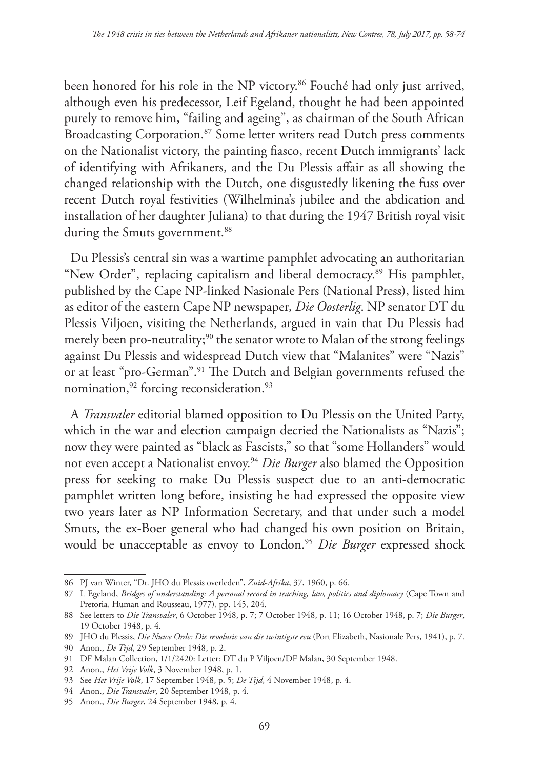been honored for his role in the NP victory.<sup>86</sup> Fouché had only just arrived, although even his predecessor, Leif Egeland, thought he had been appointed purely to remove him, "failing and ageing", as chairman of the South African Broadcasting Corporation.<sup>87</sup> Some letter writers read Dutch press comments on the Nationalist victory, the painting fiasco, recent Dutch immigrants' lack of identifying with Afrikaners, and the Du Plessis affair as all showing the changed relationship with the Dutch, one disgustedly likening the fuss over recent Dutch royal festivities (Wilhelmina's jubilee and the abdication and installation of her daughter Juliana) to that during the 1947 British royal visit during the Smuts government.<sup>88</sup>

Du Plessis's central sin was a wartime pamphlet advocating an authoritarian "New Order", replacing capitalism and liberal democracy.<sup>89</sup> His pamphlet, published by the Cape NP-linked Nasionale Pers (National Press), listed him as editor of the eastern Cape NP newspaper*, Die Oosterlig*. NP senator DT du Plessis Viljoen, visiting the Netherlands, argued in vain that Du Plessis had merely been pro-neutrality;<sup>90</sup> the senator wrote to Malan of the strong feelings against Du Plessis and widespread Dutch view that "Malanites" were "Nazis" or at least "pro-German".<sup>91</sup> The Dutch and Belgian governments refused the nomination,<sup>92</sup> forcing reconsideration.<sup>93</sup>

A *Transvaler* editorial blamed opposition to Du Plessis on the United Party, which in the war and election campaign decried the Nationalists as "Nazis"; now they were painted as "black as Fascists," so that "some Hollanders" would not even accept a Nationalist envoy.94 *Die Burger* also blamed the Opposition press for seeking to make Du Plessis suspect due to an anti-democratic pamphlet written long before, insisting he had expressed the opposite view two years later as NP Information Secretary, and that under such a model Smuts, the ex-Boer general who had changed his own position on Britain, would be unacceptable as envoy to London.<sup>95</sup> Die Burger expressed shock

<sup>86</sup> PJ van Winter, "Dr. JHO du Plessis overleden", *Zuid-Afrika*, 37, 1960, p. 66.

<sup>87</sup> L Egeland, *Bridges of understanding: A personal record in teaching, law, politics and diplomacy* (Cape Town and Pretoria, Human and Rousseau, 1977), pp. 145, 204.

<sup>88</sup> See letters to *Die Transvaler*, 6 October 1948, p. 7; 7 October 1948, p. 11; 16 October 1948, p. 7; *Die Burger*, 19 October 1948, p. 4.

<sup>89</sup> JHO du Plessis, *Die Nuwe Orde: Die revolusie van die twintigste eeu* (Port Elizabeth, Nasionale Pers, 1941), p. 7.

<sup>90</sup> Anon., *De Tijd*, 29 September 1948, p. 2.

<sup>91</sup> DF Malan Collection, 1/1/2420: Letter: DT du P Viljoen/DF Malan, 30 September 1948.

<sup>92</sup> Anon., *Het Vrije Volk*, 3 November 1948, p. 1.

<sup>93</sup> See *Het Vrije Volk*, 17 September 1948, p. 5; *De Tijd*, 4 November 1948, p. 4.

<sup>94</sup> Anon., *Die Transvaler*, 20 September 1948, p. 4.

<sup>95</sup> Anon., *Die Burger*, 24 September 1948, p. 4.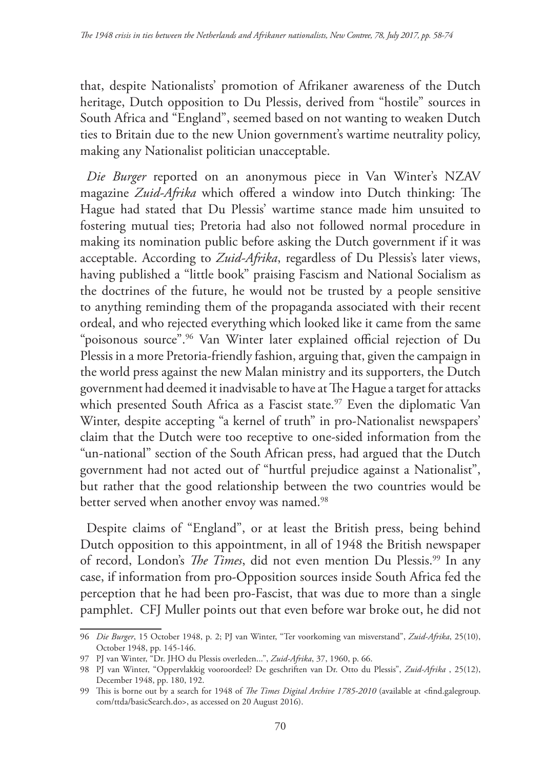that, despite Nationalists' promotion of Afrikaner awareness of the Dutch heritage, Dutch opposition to Du Plessis, derived from "hostile" sources in South Africa and "England", seemed based on not wanting to weaken Dutch ties to Britain due to the new Union government's wartime neutrality policy, making any Nationalist politician unacceptable.

*Die Burger* reported on an anonymous piece in Van Winter's NZAV magazine *Zuid-Afrika* which offered a window into Dutch thinking: The Hague had stated that Du Plessis' wartime stance made him unsuited to fostering mutual ties; Pretoria had also not followed normal procedure in making its nomination public before asking the Dutch government if it was acceptable. According to *Zuid-Afrika*, regardless of Du Plessis's later views, having published a "little book" praising Fascism and National Socialism as the doctrines of the future, he would not be trusted by a people sensitive to anything reminding them of the propaganda associated with their recent ordeal, and who rejected everything which looked like it came from the same "poisonous source".96 Van Winter later explained official rejection of Du Plessis in a more Pretoria-friendly fashion, arguing that, given the campaign in the world press against the new Malan ministry and its supporters, the Dutch government had deemed it inadvisable to have at The Hague a target for attacks which presented South Africa as a Fascist state.<sup>97</sup> Even the diplomatic Van Winter, despite accepting "a kernel of truth" in pro-Nationalist newspapers' claim that the Dutch were too receptive to one-sided information from the "un-national" section of the South African press, had argued that the Dutch government had not acted out of "hurtful prejudice against a Nationalist", but rather that the good relationship between the two countries would be better served when another envoy was named.<sup>98</sup>

Despite claims of "England", or at least the British press, being behind Dutch opposition to this appointment, in all of 1948 the British newspaper of record, London's *The Times*, did not even mention Du Plessis.<sup>99</sup> In any case, if information from pro-Opposition sources inside South Africa fed the perception that he had been pro-Fascist, that was due to more than a single pamphlet. CFJ Muller points out that even before war broke out, he did not

<sup>96</sup> *Die Burger*, 15 October 1948, p. 2; PJ van Winter, "Ter voorkoming van misverstand", *Zuid-Afrika*, 25(10), October 1948, pp. 145-146.

<sup>97</sup> PJ van Winter, "Dr. JHO du Plessis overleden...", *Zuid-Afrika*, 37, 1960, p. 66.

<sup>98</sup> PJ van Winter, "Oppervlakkig vooroordeel? De geschriften van Dr. Otto du Plessis", *Zuid-Afrika* , 25(12), December 1948, pp. 180, 192.

<sup>99</sup> This is borne out by a search for 1948 of *The Times Digital Archive 1785-2010* (available at <find.galegroup. com/ttda/basicSearch.do>, as accessed on 20 August 2016).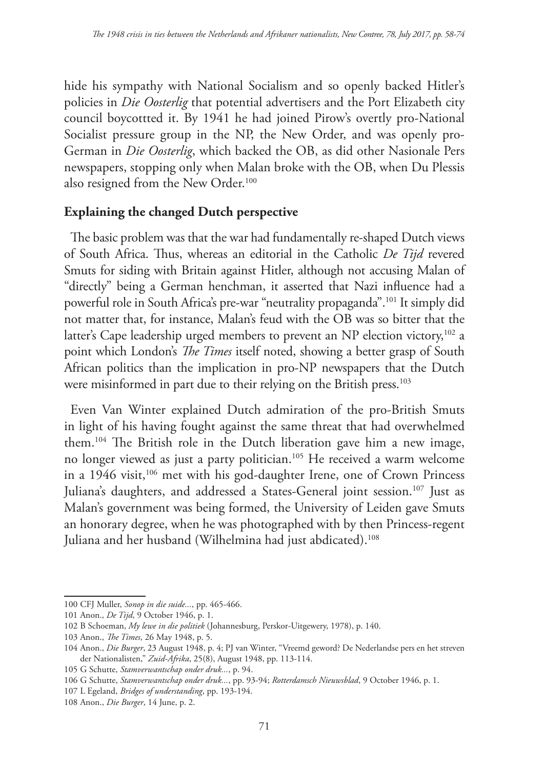hide his sympathy with National Socialism and so openly backed Hitler's policies in *Die Oosterlig* that potential advertisers and the Port Elizabeth city council boycottted it. By 1941 he had joined Pirow's overtly pro-National Socialist pressure group in the NP, the New Order, and was openly pro-German in *Die Oosterlig*, which backed the OB, as did other Nasionale Pers newspapers, stopping only when Malan broke with the OB, when Du Plessis also resigned from the New Order.<sup>100</sup>

# **Explaining the changed Dutch perspective**

The basic problem was that the war had fundamentally re-shaped Dutch views of South Africa. Thus, whereas an editorial in the Catholic *De Tijd* revered Smuts for siding with Britain against Hitler, although not accusing Malan of "directly" being a German henchman, it asserted that Nazi influence had a powerful role in South Africa's pre-war "neutrality propaganda".101 It simply did not matter that, for instance, Malan's feud with the OB was so bitter that the latter's Cape leadership urged members to prevent an NP election victory,<sup>102</sup> a point which London's *The Times* itself noted, showing a better grasp of South African politics than the implication in pro-NP newspapers that the Dutch were misinformed in part due to their relying on the British press.<sup>103</sup>

Even Van Winter explained Dutch admiration of the pro-British Smuts in light of his having fought against the same threat that had overwhelmed them.104 The British role in the Dutch liberation gave him a new image, no longer viewed as just a party politician.105 He received a warm welcome in a 1946 visit,<sup>106</sup> met with his god-daughter Irene, one of Crown Princess Juliana's daughters, and addressed a States-General joint session.<sup>107</sup> Just as Malan's government was being formed, the University of Leiden gave Smuts an honorary degree, when he was photographed with by then Princess-regent Juliana and her husband (Wilhelmina had just abdicated).<sup>108</sup>

<sup>100</sup> CFJ Muller, *Sonop in die suide...*, pp. 465-466.

<sup>101</sup> Anon., *De Tijd*, 9 October 1946, p. 1.

<sup>102</sup> B Schoeman, *My lewe in die politiek* (Johannesburg, Perskor-Uitgewery, 1978), p. 140.

<sup>103</sup> Anon., *The Times*, 26 May 1948, p. 5.

<sup>104</sup> Anon., *Die Burger*, 23 August 1948, p. 4; PJ van Winter, "Vreemd geword? De Nederlandse pers en het streven der Nationalisten," *Zuid-Afrika*, 25(8), August 1948, pp. 113-114.

<sup>105</sup> G Schutte, *Stamverwantschap onder druk...*, p. 94.

<sup>106</sup> G Schutte, *Stamverwantschap onder druk...*, pp. 93-94; *Rotterdamsch Nieuwsblad*, 9 October 1946, p. 1.

<sup>107</sup> L Egeland, *Bridges of understanding*, pp. 193-194.

<sup>108</sup> Anon., *Die Burger*, 14 June, p. 2.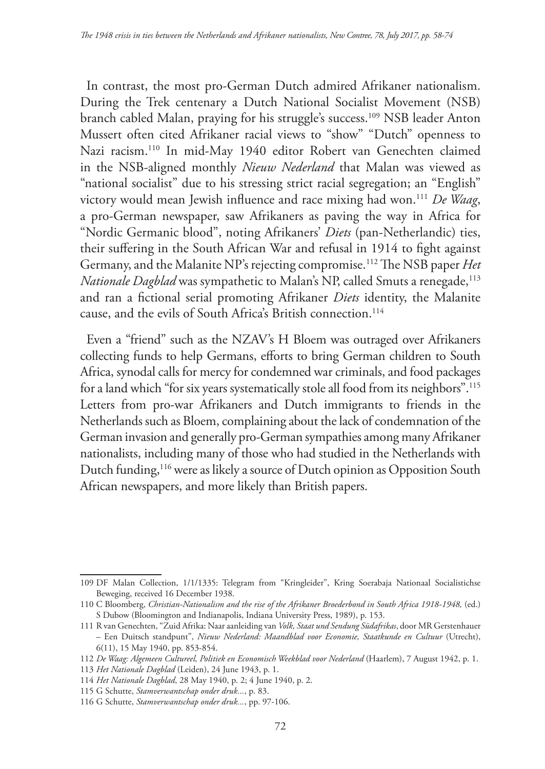In contrast, the most pro-German Dutch admired Afrikaner nationalism. During the Trek centenary a Dutch National Socialist Movement (NSB) branch cabled Malan, praying for his struggle's success.109 NSB leader Anton Mussert often cited Afrikaner racial views to "show" "Dutch" openness to Nazi racism.110 In mid-May 1940 editor Robert van Genechten claimed in the NSB-aligned monthly *Nieuw Nederland* that Malan was viewed as "national socialist" due to his stressing strict racial segregation; an "English" victory would mean Jewish influence and race mixing had won.111 *De Waag*, a pro-German newspaper, saw Afrikaners as paving the way in Africa for "Nordic Germanic blood", noting Afrikaners' *Diets* (pan-Netherlandic) ties, their suffering in the South African War and refusal in 1914 to fight against Germany, and the Malanite NP's rejecting compromise.112 The NSB paper *Het Nationale Dagblad* was sympathetic to Malan's NP, called Smuts a renegade,<sup>113</sup> and ran a fictional serial promoting Afrikaner *Diets* identity, the Malanite cause, and the evils of South Africa's British connection.<sup>114</sup>

Even a "friend" such as the NZAV's H Bloem was outraged over Afrikaners collecting funds to help Germans, efforts to bring German children to South Africa, synodal calls for mercy for condemned war criminals, and food packages for a land which "for six years systematically stole all food from its neighbors".115 Letters from pro-war Afrikaners and Dutch immigrants to friends in the Netherlands such as Bloem, complaining about the lack of condemnation of the German invasion and generally pro-German sympathies among many Afrikaner nationalists, including many of those who had studied in the Netherlands with Dutch funding,<sup>116</sup> were as likely a source of Dutch opinion as Opposition South African newspapers, and more likely than British papers.

<sup>109</sup> DF Malan Collection, 1/1/1335: Telegram from "Kringleider", Kring Soerabaja Nationaal Socialistichse Beweging, received 16 December 1938.

<sup>110</sup> C Bloomberg, *Christian-Nationalism and the rise of the Afrikaner Broederbond in South Africa 1918-1948,* (ed.) S Dubow (Bloomington and Indianapolis, Indiana University Press, 1989), p. 153.

<sup>111</sup> R van Genechten, "Zuid Afrika: Naar aanleiding van *Volk, Staat und Sendung Südafrikas*, door MR Gerstenhauer – Een Duitsch standpunt", *Nieuw Nederland: Maandblad voor Economie, Staatkunde en Cultuur* (Utrecht), 6(11), 15 May 1940, pp. 853-854.

<sup>112</sup> *De Waag: Algemeen Cultureel, Politiek en Economisch Weekblad voor Nederland* (Haarlem), 7 August 1942, p. 1.

<sup>113</sup> *Het Nationale Dagblad* (Leiden), 24 June 1943, p. 1.

<sup>114</sup> *Het Nationale Dagblad*, 28 May 1940, p. 2; 4 June 1940, p. 2.

<sup>115</sup> G Schutte, *Stamverwantschap onder druk...*, p. 83.

<sup>116</sup> G Schutte, *Stamverwantschap onder druk...*, pp. 97-106.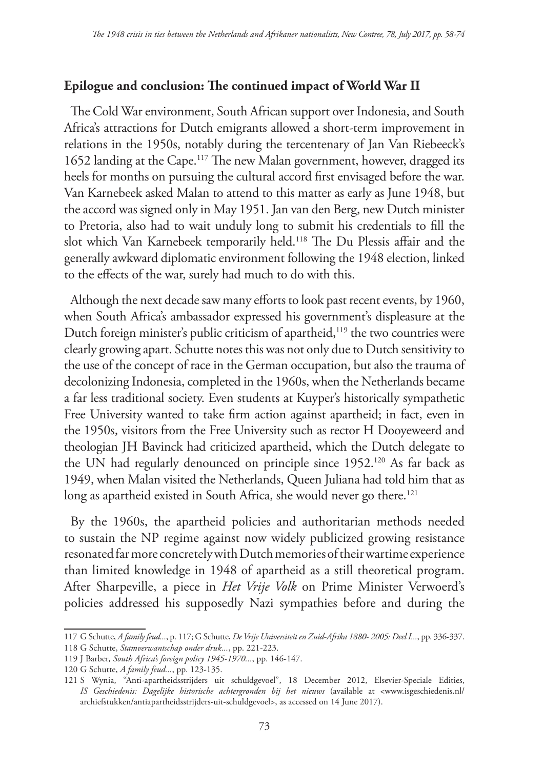### **Epilogue and conclusion: The continued impact of World War II**

The Cold War environment, South African support over Indonesia, and South Africa's attractions for Dutch emigrants allowed a short-term improvement in relations in the 1950s, notably during the tercentenary of Jan Van Riebeeck's 1652 landing at the Cape.117 The new Malan government, however, dragged its heels for months on pursuing the cultural accord first envisaged before the war. Van Karnebeek asked Malan to attend to this matter as early as June 1948, but the accord was signed only in May 1951. Jan van den Berg, new Dutch minister to Pretoria, also had to wait unduly long to submit his credentials to fill the slot which Van Karnebeek temporarily held.118 The Du Plessis affair and the generally awkward diplomatic environment following the 1948 election, linked to the effects of the war, surely had much to do with this.

Although the next decade saw many efforts to look past recent events, by 1960, when South Africa's ambassador expressed his government's displeasure at the Dutch foreign minister's public criticism of apartheid,<sup>119</sup> the two countries were clearly growing apart. Schutte notes this was not only due to Dutch sensitivity to the use of the concept of race in the German occupation, but also the trauma of decolonizing Indonesia, completed in the 1960s, when the Netherlands became a far less traditional society. Even students at Kuyper's historically sympathetic Free University wanted to take firm action against apartheid; in fact, even in the 1950s, visitors from the Free University such as rector H Dooyeweerd and theologian JH Bavinck had criticized apartheid, which the Dutch delegate to the UN had regularly denounced on principle since 1952.120 As far back as 1949, when Malan visited the Netherlands, Queen Juliana had told him that as long as apartheid existed in South Africa, she would never go there.<sup>121</sup>

By the 1960s, the apartheid policies and authoritarian methods needed to sustain the NP regime against now widely publicized growing resistance resonated far more concretely with Dutch memories of their wartime experience than limited knowledge in 1948 of apartheid as a still theoretical program. After Sharpeville, a piece in *Het Vrije Volk* on Prime Minister Verwoerd's policies addressed his supposedly Nazi sympathies before and during the

<sup>117</sup> G Schutte, *A family feud...*, p. 117; G Schutte, *De Vrije Universiteit en Zuid-Afrika 1880- 2005: Deel I...*, pp. 336-337. 118 G Schutte, *Stamverwantschap onder druk...*, pp. 221-223.

<sup>119</sup> J Barber*, South Africa's foreign policy 1945-1970...*, pp. 146-147.

<sup>120</sup> G Schutte, *A family feud...*, pp. 123-135.

<sup>121</sup> S Wynia, "Anti-apartheidsstrijders uit schuldgevoel", 18 December 2012, Elsevier-Speciale Edities, *IS Geschiedenis: Dagelijke historische achtergronden bij het nieuws* (available at <www.isgeschiedenis.nl/ archiefstukken/antiapartheidsstrijders-uit-schuldgevoel>, as accessed on 14 June 2017).